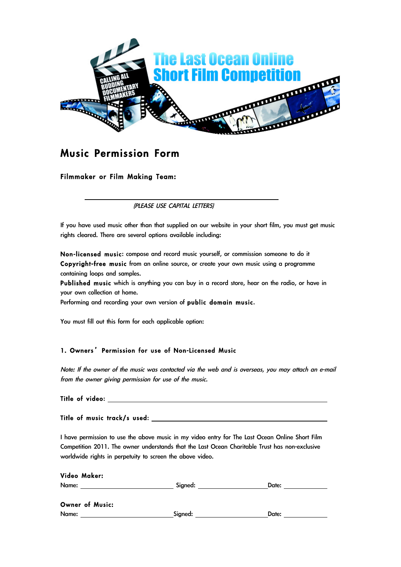

# **Music Permission Form**

## Filmmaker or Film Making Team:

(PLEASE USE CAPITAL LETTERS)

If you have used music other than that supplied on our website in your short film, you must get music rights cleared. There are several options available including:

Non-licensed music: compose and record music yourself, or commission someone to do it Copyright-free music from an online source, or create your own music using a programme containing loops and samples.

Published music which is anything you can buy in a record store, hear on the radio, or have in your own collection at home.

Performing and recording your own version of public domain music.

You must fill out this form for each applicable option:

### 1. Owners' Permission for use of Non-Licensed Music

Note: If the owner of the music was contacted via the web and is overseas, you may attach an e-mail from the owner giving permission for use of the music.

| Title of video: |  |
|-----------------|--|
|                 |  |

Title of music track/s used:

I have permission to use the above music in my video entry for The Last Ocean Online Short Film Competition 2011. The owner understands that the Last Ocean Charitable Trust has non-exclusive worldwide rights in perpetuity to screen the above video.

| Video Maker:    |         |       |  |
|-----------------|---------|-------|--|
| Name:           | Signed: | Date: |  |
| Owner of Music: |         |       |  |
| Name:           | Signed: | Date: |  |